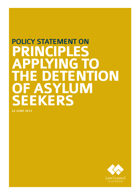# POLICY STATEMENT ON **NCIPLES<br>PLYING TO applying to TEDETENTION of asylum seekers**

22 june 2013

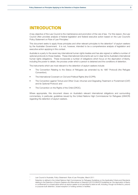## **Introduction**

A key objective of the Law Council is the maintenance and promotion of the rule of law. For this reason, the Law Council often provides analysis of federal legislation and federal executive action based on the Law Council's Policy Statement on Rule of Law Principles.<sup>1</sup>

This document seeks to apply those principles and other relevant principles to the detention<sup>2</sup> of asylum seekers by the Australian Government. It is not, however, intended to be a comprehensive analysis of legislation and executive action applying in this context.

Australia is a party to the seven key international human rights treaties and has also signed or ratified a number of optional protocols to those treaties. These international instruments set out in clear terms Australia's international human rights obligations. These incorporate a number of obligations which focus on the deprivation of liberty, including the power to detain, the process under which a person is detained and the conditions of detention.

The instruments which are most relevant to the detention of asylum seekers include:

- The Convention Relating to the Status of Refugees (as amended by its 1967 Protocol) (the Refugee Convention);
- The International Covenant on Civil and Political Rights (the ICCPR);
- The Convention against Torture and Other Cruel, Inhuman and Degrading Treatment or Punishment (CAT) and its Optional Protocol; and
- The Convention on the Rights of the Child (CROC).

Where appropriate, this document draws on Australia's relevant international obligations and surrounding commentary, in particular, guidelines issued by the United Nations High Commissioner for Refugees (UNHCR) regarding the detention of asylum seekers.

<sup>1.</sup> Law Council of Australia, *Policy Statement: Rule of Law Principles*, March 2011

<sup>2</sup> Detention is defined in the United Nations High Commissioner for Refugees Guidelines on the Applicable Criteria and Standards relating to the Detention of Asylum Seekers and Alternatives to Detention (2012) (UNHCR Guidelines) as 'the deprivation of liberty or confinement in a closed place which an asylum seeker is not permitted to leave at will, including, though not limited to, prisons or purpose-built detention, closed reception or holding centres or facilities.'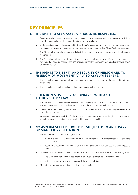## **Key Principles**

#### 1. The right to seek asylum should be respected.

- a. Every person has the right to seek and enjoy asylum from persecution, serious human rights violations and other serious harm. Seeking asylum is not an unlawful act.
- b. Asylum seekers shall not be penalised for their "illegal" entry or stay in a country provided they present themselves to the authorities without delay and show good cause for their "illegal" entry or presence.<sup>3</sup>
- c. The State shall not expel a refugee who is lawfully in its territory, except on grounds of national security or public order.
- d. The State shall not expel or return a refugee to a situation where his or her life or freedom would be threatened on account of his or her race, religion, nationality, membership of a particular social group or political opinion.

#### 2. The rights to liberty and security of person and to freedom of movement apply to asylum seekers.

- a. The State shall respect rights to liberty and security of person and freedom of movement in principle for all people.
- b. The State shall only detain asylum seekers as a measure of last resort.

#### 3. Detention must be in accordance with and authorised by law.

- a. The State shall only detain asylum seekers as authorised by law. Detention provided for by domestic law may nevertheless be considered arbitrary and unlawful under international law.
- b. Executive discretion relating to the detention of asylum seekers shall be subject to prescribed limits and to judicial review.
- c. Anyone who has been the victim of unlawful detention shall have an enforceable right to compensation, in addition to any other effective remedy to which he or she is entitled.

### 4. No asylum seeker should be subjected to arbitrary or mandatory detention.

- a. The State should only detain an asylum seeker:
	- i. When it is necessary, reasonable in all the circumstances and proportionate to a legitimate purpose; and
	- ii. Based on a detailed assessment of an individual's particular circumstances and clear, objective criteria.
- b. In all other circumstances, detention is likely to be considered arbitrary and unlawful, particularly when:
	- i. The State does not consider less coercive or intrusive alternatives to detention; and
	- ii. Detention is inappropriate, unjust, unpredictable or indefinite.
- c. Mandatory or automatic detention is arbitrary and unlawful.

<sup>3</sup> "Illegal entry" is the expression used in the Refugee Convention. The use of this expression in these principles is not intended to imply that it is not lawful to seek asylum.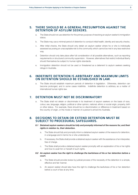#### 5. There should be a general presumption against the detention of asylum seekers.

- a. The State should not use detention for the primary purpose of resolving an asylum seeker's immigration status.
- b. The State may use a minimal period of detention to conduct initial health, identity and security checks.
- c. After initial checks, the State should only detain an asylum seeker where he or she is individually assessed as posing an unacceptable risk to the community which cannot be met in any less restrictive way.
- d. Detention should only take place after full consideration of all possible alternatives, such as reporting requirements or structured community supervision. However, alternatives that restrict individual liberty should themselves be subject to human rights standards.
- e. Immigration detention should not be used or threatened as a deterrent to asylum seekers seeking refuge in Australia.

#### 6. Indefinite detention is arbitrary and maximum limits on detention should be established in law.

a. The State should establish maximum periods of detention in legislation. Otherwise, detention can become prolonged, and in some cases indefinite. Indefinite detention is arbitrary as a matter of international human rights law.

#### 7. Detention must not be discriminatory

a. The State shall not detain or discriminate in its treatment of asylum seekers on the basis of race, colour, sex, language, religion, political or other opinion, national, ethnic or social origin, property, birth or other status. For example, there should be no discrimination or difference in treatment based on the country of origin, or the mode or manner of a person's arrival into Australia.

#### 8. Decisions to detain or extend detention must be subject to procedural safeguards.

- *8.1 Detained asylum seekers should be fully and promptly informed of the reasons for, and their rights in relation to, their detention.* 
	- a. The State should fully and promptly inform a detained asylum seeker of the reasons for detention, in a language and in terms he or she understands.
	- b. If necessary, the State shall provide a detained asylum seeker with the assistance of an interpreter, free of charge.
	- c. The State shall provide a detained asylum seeker promptly with an explanation of his or her rights and how to avail him or herself of such rights.

#### *8.2 An asylum seeker has the right to challenge the lawfulness of his or her detention before a court.*

- a. The State should provide review by judicial process of the necessity of the detention in a simple, effective and fair manner.
- b. An asylum seeker should also have the right to challenge the lawfulness of his or her detention before a court of law at any time.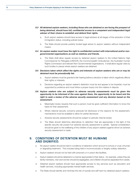- *8.3 All detained asylum seekers, including those who are detained or are facing the prospect of being detained, should have full, confidential access to a competent and independent legal adviser of their choice to establish and defend their rights.* 
	- a. Such asylum seekers should have access to legal advisers at all stages of the resolution of their immigration status, including judicial review.
	- b. The State should provide publicly funded legal advice to asylum seekers without independent means.
- *8.4 An asylum seeker must have the right to confidential contact with international and/or nongovernmental organisations as well as relatives and friends.*
	- a. The State shall allow regular access by detained asylum seekers to the United Nations High Commissioner for Refugees (UNHCR), the Commonwealth Ombudsman, the Australian Human Rights Commission and relevant Non-Governmental Organisations. It shall allow regular visits by such bodies to places where asylum seekers are detained.
- *8.5 Decisions taken which affect the rights and interests of asylum seekers who are or may be detained must be procedurally fair.*
	- a. Asylum seekers must be granted a fair hearing before a decision is taken which negatively affects their rights or interests.
	- b. Decisions regarding an asylum seeker's detention must be and appear to be impartial, must be supported by evidence and must follow a proper inquiry into the matters in dispute.
- *8.6 Asylum seekers who are subject to adverse security assessments must be given the opportunity to be informed of the case against them, the opportunity to be heard and the right to seek a review of the adverse security assessment and any decision based on the assessment.* 
	- a. Meaningful review requires that such a person must be given sufficient information to know the basis for their assessment.
	- b. Where national security concerns preclude full disclosure of the reasons for the assessment, mechanisms must be available to allow for partial disclosure.
	- c. Adverse security assessments should be subject to periodic internal review.
	- d. The State should determine alternatives to detention that are appropriate in the light of the specific security risk posed if an adverse security assessment is upheld. Special consideration should be given to the wellbeing of the children of any asylum seekers against whom an adverse security assessment is made.

#### 9. Conditions of detention must be humane and dignified.

- a. No asylum seeker should be held in conditions of detention which amount to torture or cruel, inhuman or degrading treatment. This includes being held in incommunicado or lengthy solitary detention.
- b. Asylum seekers should not be held with prisoners or in prison-like facilities.
- c. Asylum seekers should be detained in a manner appropriate to their status for example, unless they are family members, men and women should be segregated, and children should be separated from adults.
- d. Detained asylum seekers should have appropriate access to key services such as education and health services, including appropriate mental health services.
- e. The State should identify and minimise the risk of suicide and self-harm by detained asylum seekers.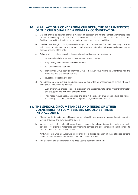#### 10. In all actions concerning children, the best interests of the child shall be a primary consideration.

- a. Children should be detained only as a measure of last resort and for the shortest appropriate period of time. If necessary as a last resort, community-based detention should be used for children and families, provided that it includes appropriate access to services and facilities.
- b. Children have the right to family unity and the right not to be separated from their parents against their will, unless competent authorities, subject to judicial review, determine that separation is necessary for the best interests of the child.
- c. Other guiding principles regarding the detention of children include the rights to:
	- i. life, survival and development to the maximum extent possible:
	- ii. enjoy the highest attainable standard of health;
	- iii. non-discriminatory treatment;
	- iv. express their views freely and for their views to be given "due weight" in accordance with the child's age and level of maturity; and
	- education, recreation and play.
- d. An independent legal guardian or adviser should be appointed for unaccompanied minors, who as a general rule, should not be detained.
	- i. Such children are entitled to special protection and assistance, noting their inherent vulnerability, lack of support and high rates of mental illness.
	- ii. Their needs require special emphasis and care in the provision of appropriate legal assistance, counselling, and other services including education, health and recreation.

#### 11. The special circumstances and needs of other vulnerable asylum seekers should be taken into account.

- a. Alternatives to detention should be actively considered for any people with special needs, including victims of trauma and torture and the elderly.
- b. Where detention of people with special needs occurs, they should be provided with appropriate services – for example, reasonable adjustments to services and accommodation shall be made to meet the needs of persons with disabilities.
- c. Asylum seekers who are vulnerable to prolonged or indefinite detention, such as stateless persons should be able to access durable solutions to resolve their situation.
- d. The existence of a disability shall in no case justify a deprivation of liberty.